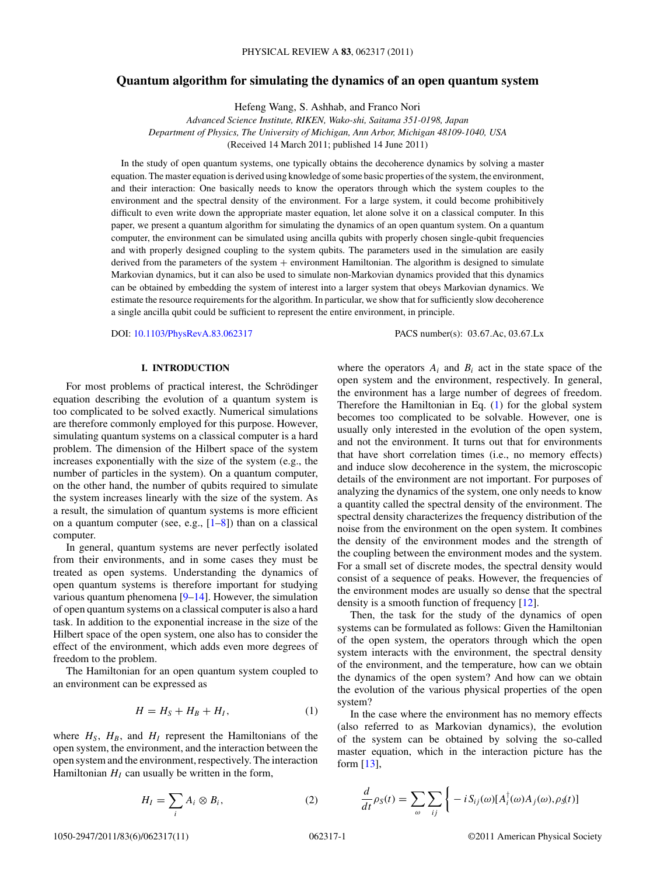# <span id="page-0-0"></span>**Quantum algorithm for simulating the dynamics of an open quantum system**

Hefeng Wang, S. Ashhab, and Franco Nori

*Advanced Science Institute, RIKEN, Wako-shi, Saitama 351-0198, Japan Department of Physics, The University of Michigan, Ann Arbor, Michigan 48109-1040, USA* (Received 14 March 2011; published 14 June 2011)

In the study of open quantum systems, one typically obtains the decoherence dynamics by solving a master equation. The master equation is derived using knowledge of some basic properties of the system, the environment, and their interaction: One basically needs to know the operators through which the system couples to the environment and the spectral density of the environment. For a large system, it could become prohibitively difficult to even write down the appropriate master equation, let alone solve it on a classical computer. In this paper, we present a quantum algorithm for simulating the dynamics of an open quantum system. On a quantum computer, the environment can be simulated using ancilla qubits with properly chosen single-qubit frequencies and with properly designed coupling to the system qubits. The parameters used in the simulation are easily derived from the parameters of the system  $+$  environment Hamiltonian. The algorithm is designed to simulate Markovian dynamics, but it can also be used to simulate non-Markovian dynamics provided that this dynamics can be obtained by embedding the system of interest into a larger system that obeys Markovian dynamics. We estimate the resource requirements for the algorithm. In particular, we show that for sufficiently slow decoherence a single ancilla qubit could be sufficient to represent the entire environment, in principle.

DOI: [10.1103/PhysRevA.83.062317](http://dx.doi.org/10.1103/PhysRevA.83.062317) PACS number(s): 03*.*67*.*Ac, 03*.*67*.*Lx

# **I. INTRODUCTION**

For most problems of practical interest, the Schrödinger equation describing the evolution of a quantum system is too complicated to be solved exactly. Numerical simulations are therefore commonly employed for this purpose. However, simulating quantum systems on a classical computer is a hard problem. The dimension of the Hilbert space of the system increases exponentially with the size of the system (e.g., the number of particles in the system). On a quantum computer, on the other hand, the number of qubits required to simulate the system increases linearly with the size of the system. As a result, the simulation of quantum systems is more efficient on a quantum computer (see, e.g.,  $[1-8]$ ) than on a classical computer.

In general, quantum systems are never perfectly isolated from their environments, and in some cases they must be treated as open systems. Understanding the dynamics of open quantum systems is therefore important for studying various quantum phenomena [\[9–14\]](#page-9-0). However, the simulation of open quantum systems on a classical computer is also a hard task. In addition to the exponential increase in the size of the Hilbert space of the open system, one also has to consider the effect of the environment, which adds even more degrees of freedom to the problem.

The Hamiltonian for an open quantum system coupled to an environment can be expressed as

$$
H = H_S + H_B + H_I, \tag{1}
$$

where  $H_S$ ,  $H_B$ , and  $H_I$  represent the Hamiltonians of the open system, the environment, and the interaction between the open system and the environment, respectively. The interaction Hamiltonian  $H<sub>I</sub>$  can usually be written in the form,

$$
H_I = \sum_i A_i \otimes B_i, \qquad (2)
$$

where the operators  $A_i$  and  $B_i$  act in the state space of the open system and the environment, respectively. In general, the environment has a large number of degrees of freedom. Therefore the Hamiltonian in Eq. (1) for the global system becomes too complicated to be solvable. However, one is usually only interested in the evolution of the open system, and not the environment. It turns out that for environments that have short correlation times (i.e., no memory effects) and induce slow decoherence in the system, the microscopic details of the environment are not important. For purposes of analyzing the dynamics of the system, one only needs to know a quantity called the spectral density of the environment. The spectral density characterizes the frequency distribution of the noise from the environment on the open system. It combines the density of the environment modes and the strength of the coupling between the environment modes and the system. For a small set of discrete modes, the spectral density would consist of a sequence of peaks. However, the frequencies of the environment modes are usually so dense that the spectral density is a smooth function of frequency [\[12\]](#page-9-0).

Then, the task for the study of the dynamics of open systems can be formulated as follows: Given the Hamiltonian of the open system, the operators through which the open system interacts with the environment, the spectral density of the environment, and the temperature, how can we obtain the dynamics of the open system? And how can we obtain the evolution of the various physical properties of the open system?

In the case where the environment has no memory effects (also referred to as Markovian dynamics), the evolution of the system can be obtained by solving the so-called master equation, which in the interaction picture has the form [\[13\]](#page-9-0),

$$
\frac{d}{dt}\rho_S(t) = \sum_{\omega} \sum_{ij} \left\{ -i S_{ij}(\omega) [A_i^{\dagger}(\omega) A_j(\omega), \rho_S(t)] \right\}
$$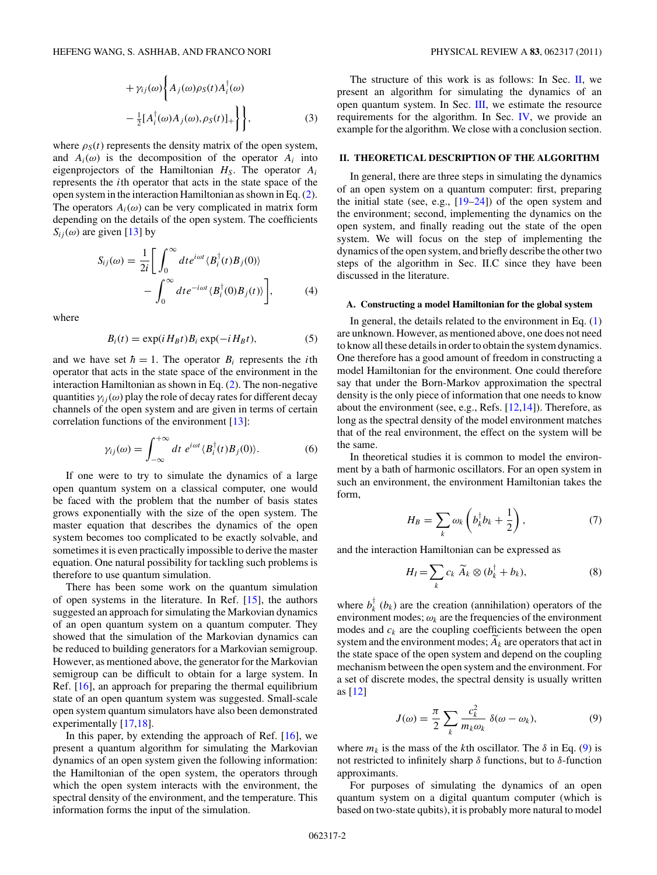<span id="page-1-0"></span>
$$
+\gamma_{ij}(\omega)\bigg\{A_j(\omega)\rho_S(t)A_i^{\dagger}(\omega)\n-\frac{1}{2}[A_i^{\dagger}(\omega)A_j(\omega),\rho_S(t)]_+\bigg\}\bigg\},
$$
\n(3)

where  $\rho_S(t)$  represents the density matrix of the open system, and  $A_i(\omega)$  is the decomposition of the operator  $A_i$  into eigenprojectors of the Hamiltonian  $H<sub>S</sub>$ . The operator  $A<sub>i</sub>$ represents the *i*th operator that acts in the state space of the open system in the interaction Hamiltonian as shown in Eq. [\(2\)](#page-0-0). The operators  $A_i(\omega)$  can be very complicated in matrix form depending on the details of the open system. The coefficients  $S_{ij}(\omega)$  are given [\[13\]](#page-9-0) by

$$
S_{ij}(\omega) = \frac{1}{2i} \bigg[ \int_0^\infty dt e^{i\omega t} \langle B_i^\dagger(t) B_j(0) \rangle - \int_0^\infty dt e^{-i\omega t} \langle B_i^\dagger(0) B_j(t) \rangle \bigg], \tag{4}
$$

where

$$
B_i(t) = \exp(i H_B t) B_i \exp(-i H_B t), \tag{5}
$$

and we have set  $\hbar = 1$ . The operator  $B_i$  represents the *i*th operator that acts in the state space of the environment in the interaction Hamiltonian as shown in Eq. [\(2\)](#page-0-0). The non-negative quantities  $\gamma_{ii}(\omega)$  play the role of decay rates for different decay channels of the open system and are given in terms of certain correlation functions of the environment [\[13\]](#page-9-0):

$$
\gamma_{ij}(\omega) = \int_{-\infty}^{+\infty} dt \ e^{i\omega t} \langle B_i^{\dagger}(t) B_j(0) \rangle.
$$
 (6)

If one were to try to simulate the dynamics of a large open quantum system on a classical computer, one would be faced with the problem that the number of basis states grows exponentially with the size of the open system. The master equation that describes the dynamics of the open system becomes too complicated to be exactly solvable, and sometimes it is even practically impossible to derive the master equation. One natural possibility for tackling such problems is therefore to use quantum simulation.

There has been some work on the quantum simulation of open systems in the literature. In Ref. [\[15\]](#page-9-0), the authors suggested an approach for simulating the Markovian dynamics of an open quantum system on a quantum computer. They showed that the simulation of the Markovian dynamics can be reduced to building generators for a Markovian semigroup. However, as mentioned above, the generator for the Markovian semigroup can be difficult to obtain for a large system. In Ref. [\[16\]](#page-9-0), an approach for preparing the thermal equilibrium state of an open quantum system was suggested. Small-scale open system quantum simulators have also been demonstrated experimentally [\[17,18\]](#page-10-0).

In this paper, by extending the approach of Ref. [\[16\]](#page-9-0), we present a quantum algorithm for simulating the Markovian dynamics of an open system given the following information: the Hamiltonian of the open system, the operators through which the open system interacts with the environment, the spectral density of the environment, and the temperature. This information forms the input of the simulation.

The structure of this work is as follows: In Sec.  $II$ , we present an algorithm for simulating the dynamics of an open quantum system. In Sec. [III,](#page-6-0) we estimate the resource requirements for the algorithm. In Sec. [IV,](#page-7-0) we provide an example for the algorithm. We close with a conclusion section.

## **II. THEORETICAL DESCRIPTION OF THE ALGORITHM**

In general, there are three steps in simulating the dynamics of an open system on a quantum computer: first, preparing the initial state (see, e.g.,  $[19-24]$ ) of the open system and the environment; second, implementing the dynamics on the open system, and finally reading out the state of the open system. We will focus on the step of implementing the dynamics of the open system, and briefly describe the other two steps of the algorithm in Sec. II.C since they have been discussed in the literature.

### **A. Constructing a model Hamiltonian for the global system**

In general, the details related to the environment in Eq.  $(1)$ are unknown. However, as mentioned above, one does not need to know all these details in order to obtain the system dynamics. One therefore has a good amount of freedom in constructing a model Hamiltonian for the environment. One could therefore say that under the Born-Markov approximation the spectral density is the only piece of information that one needs to know about the environment (see, e.g., Refs. [\[12,14\]](#page-9-0)). Therefore, as long as the spectral density of the model environment matches that of the real environment, the effect on the system will be the same.

In theoretical studies it is common to model the environment by a bath of harmonic oscillators. For an open system in such an environment, the environment Hamiltonian takes the form,

$$
H_B = \sum_k \omega_k \left( b_k^\dagger b_k + \frac{1}{2} \right),\tag{7}
$$

and the interaction Hamiltonian can be expressed as

$$
H_{I} = \sum_{k} c_{k} \widetilde{A}_{k} \otimes (b_{k}^{\dagger} + b_{k}), \qquad (8)
$$

where  $b_k^{\dagger}$  ( $b_k$ ) are the creation (annihilation) operators of the environment modes;  $\omega_k$  are the frequencies of the environment modes and  $c_k$  are the coupling coefficients between the open system and the environment modes;  $A_k$  are operators that act in the state space of the open system and depend on the coupling mechanism between the open system and the environment. For a set of discrete modes, the spectral density is usually written as [\[12\]](#page-9-0)

$$
J(\omega) = \frac{\pi}{2} \sum_{k} \frac{c_k^2}{m_k \omega_k} \delta(\omega - \omega_k), \tag{9}
$$

where  $m_k$  is the mass of the *k*th oscillator. The  $\delta$  in Eq. (9) is not restricted to infinitely sharp *δ* functions, but to *δ*-function approximants.

For purposes of simulating the dynamics of an open quantum system on a digital quantum computer (which is based on two-state qubits), it is probably more natural to model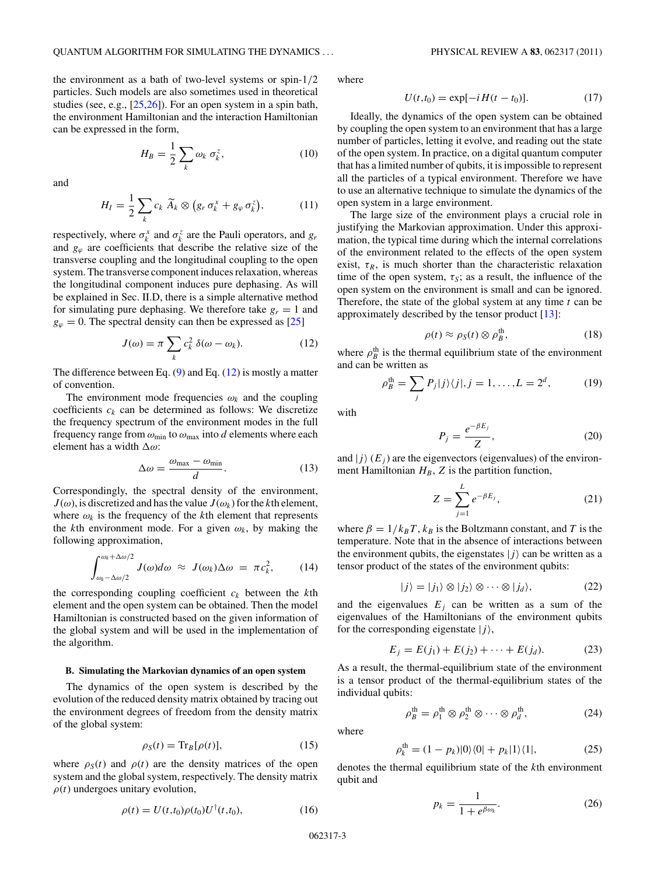<span id="page-2-0"></span>the environment as a bath of two-level systems or spin-1*/*2 particles. Such models are also sometimes used in theoretical studies (see, e.g., [\[25,26\]](#page-10-0)). For an open system in a spin bath, the environment Hamiltonian and the interaction Hamiltonian can be expressed in the form,

$$
H_B = \frac{1}{2} \sum_k \omega_k \sigma_k^z, \qquad (10)
$$

and

$$
H_I = \frac{1}{2} \sum_k c_k \widetilde{A}_k \otimes (g_r \sigma_k^x + g_\varphi \sigma_k^z), \qquad (11)
$$

respectively, where  $\sigma_k^x$  and  $\sigma_k^z$  are the Pauli operators, and  $g_r$ and  $g_\varphi$  are coefficients that describe the relative size of the transverse coupling and the longitudinal coupling to the open system. The transverse component induces relaxation, whereas the longitudinal component induces pure dephasing. As will be explained in Sec. II.D, there is a simple alternative method for simulating pure dephasing. We therefore take  $g_r = 1$  and  $g_{\varphi} = 0$ . The spectral density can then be expressed as [\[25\]](#page-10-0)

$$
J(\omega) = \pi \sum_{k} c_k^2 \, \delta(\omega - \omega_k). \tag{12}
$$

The difference between Eq.  $(9)$  and Eq.  $(12)$  is mostly a matter of convention.

The environment mode frequencies  $\omega_k$  and the coupling coefficients  $c_k$  can be determined as follows: We discretize the frequency spectrum of the environment modes in the full frequency range from  $\omega_{\text{min}}$  to  $\omega_{\text{max}}$  into *d* elements where each element has a width *ω*:

$$
\Delta \omega = \frac{\omega_{\text{max}} - \omega_{\text{min}}}{d}.
$$
\n(13)

Correspondingly, the spectral density of the environment,  $J(\omega)$ , is discretized and has the value  $J(\omega_k)$  for the *k*th element, where  $\omega_k$  is the frequency of the *k*th element that represents the *k*th environment mode. For a given  $\omega_k$ , by making the following approximation,

$$
\int_{\omega_k - \Delta\omega/2}^{\omega_k + \Delta\omega/2} J(\omega) d\omega \approx J(\omega_k) \Delta\omega = \pi c_k^2, \qquad (14)
$$

the corresponding coupling coefficient  $c_k$  between the  $k$ th element and the open system can be obtained. Then the model Hamiltonian is constructed based on the given information of the global system and will be used in the implementation of the algorithm.

#### **B. Simulating the Markovian dynamics of an open system**

The dynamics of the open system is described by the evolution of the reduced density matrix obtained by tracing out the environment degrees of freedom from the density matrix of the global system:

$$
\rho_S(t) = \text{Tr}_B[\rho(t)],\tag{15}
$$

where  $\rho_S(t)$  and  $\rho(t)$  are the density matrices of the open system and the global system, respectively. The density matrix  $\rho(t)$  undergoes unitary evolution,

$$
\rho(t) = U(t, t_0) \rho(t_0) U^{\dagger}(t, t_0), \tag{16}
$$

where

$$
U(t,t_0) = \exp[-iH(t-t_0)].
$$
 (17)

Ideally, the dynamics of the open system can be obtained by coupling the open system to an environment that has a large number of particles, letting it evolve, and reading out the state of the open system. In practice, on a digital quantum computer that has a limited number of qubits, it is impossible to represent all the particles of a typical environment. Therefore we have to use an alternative technique to simulate the dynamics of the open system in a large environment.

The large size of the environment plays a crucial role in justifying the Markovian approximation. Under this approximation, the typical time during which the internal correlations of the environment related to the effects of the open system exist,  $\tau_R$ , is much shorter than the characteristic relaxation time of the open system,  $\tau_s$ ; as a result, the influence of the open system on the environment is small and can be ignored. Therefore, the state of the global system at any time *t* can be approximately described by the tensor product [\[13\]](#page-9-0):

$$
\rho(t) \approx \rho_S(t) \otimes \rho_B^{\text{th}},\tag{18}
$$

where  $\rho_B^{\text{th}}$  is the thermal equilibrium state of the environment and can be written as

$$
\rho_B^{\text{th}} = \sum_j P_j |j\rangle\langle j|, j = 1, \dots, L = 2^d, \tag{19}
$$

with

$$
P_j = \frac{e^{-\beta E_j}}{Z},\tag{20}
$$

and  $|j\rangle$  ( $E_j$ ) are the eigenvectors (eigenvalues) of the environment Hamiltonian  $H_B$ ,  $Z$  is the partition function,

$$
Z = \sum_{j=1}^{L} e^{-\beta E_j},\tag{21}
$$

where  $\beta = 1/k_B T$ ,  $k_B$  is the Boltzmann constant, and *T* is the temperature. Note that in the absence of interactions between the environment qubits, the eigenstates  $|j\rangle$  can be written as a tensor product of the states of the environment qubits:

$$
|j\rangle = |j_1\rangle \otimes |j_2\rangle \otimes \cdots \otimes |j_d\rangle, \tag{22}
$$

and the eigenvalues  $E_j$  can be written as a sum of the eigenvalues of the Hamiltonians of the environment qubits for the corresponding eigenstate  $|j\rangle$ ,

$$
E_j = E(j_1) + E(j_2) + \dots + E(j_d). \tag{23}
$$

As a result, the thermal-equilibrium state of the environment is a tensor product of the thermal-equilibrium states of the individual qubits:

$$
\rho_B^{\text{th}} = \rho_1^{\text{th}} \otimes \rho_2^{\text{th}} \otimes \cdots \otimes \rho_d^{\text{th}},\tag{24}
$$

where

$$
\rho_k^{\text{th}} = (1 - p_k)|0\rangle\langle 0| + p_k|1\rangle\langle 1|,\tag{25}
$$

denotes the thermal equilibrium state of the *k*th environment qubit and

$$
p_k = \frac{1}{1 + e^{\beta \omega_k}}.\tag{26}
$$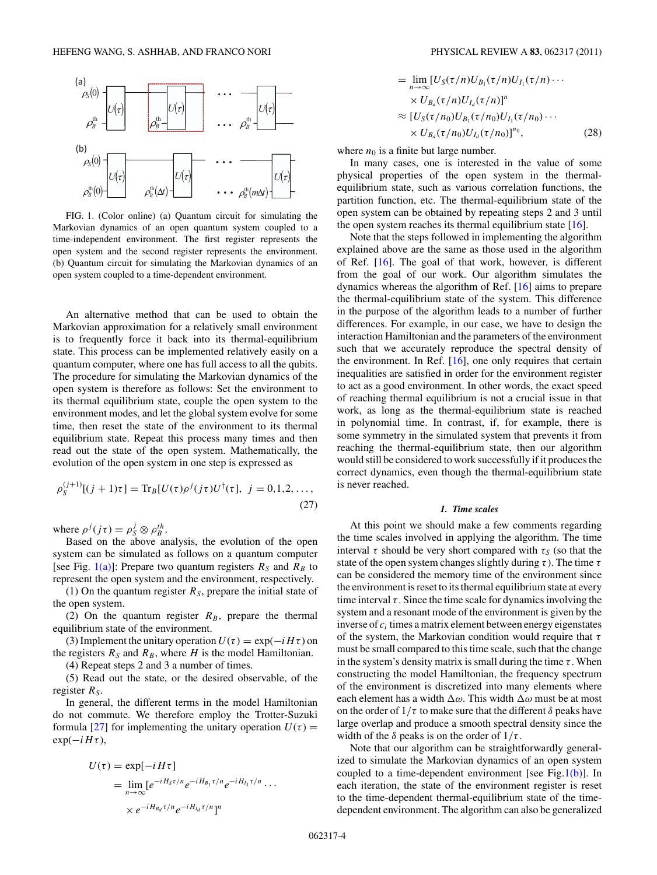<span id="page-3-0"></span>

FIG. 1. (Color online) (a) Quantum circuit for simulating the Markovian dynamics of an open quantum system coupled to a time-independent environment. The first register represents the open system and the second register represents the environment. (b) Quantum circuit for simulating the Markovian dynamics of an open system coupled to a time-dependent environment.

An alternative method that can be used to obtain the Markovian approximation for a relatively small environment is to frequently force it back into its thermal-equilibrium state. This process can be implemented relatively easily on a quantum computer, where one has full access to all the qubits. The procedure for simulating the Markovian dynamics of the open system is therefore as follows: Set the environment to its thermal equilibrium state, couple the open system to the environment modes, and let the global system evolve for some time, then reset the state of the environment to its thermal equilibrium state. Repeat this process many times and then read out the state of the open system. Mathematically, the evolution of the open system in one step is expressed as

$$
\rho_S^{(j+1)}[(j+1)\tau] = \text{Tr}_B[U(\tau)\rho^j(j\tau)U^{\dagger}(\tau), \ j = 0, 1, 2, \dots, \tag{27}
$$

where  $\rho^{j}(j\tau) = \rho_{S}^{j} \otimes \rho_{B}^{th}$ .

Based on the above analysis, the evolution of the open system can be simulated as follows on a quantum computer [see Fig. 1(a)]: Prepare two quantum registers  $R_S$  and  $R_B$  to represent the open system and the environment, respectively.

(1) On the quantum register  $R<sub>S</sub>$ , prepare the initial state of the open system.

(2) On the quantum register  $R_B$ , prepare the thermal equilibrium state of the environment.

(3) Implement the unitary operation  $U(\tau) = \exp(-i H \tau)$  on the registers  $R_S$  and  $R_B$ , where *H* is the model Hamiltonian.

(4) Repeat steps 2 and 3 a number of times.

(5) Read out the state, or the desired observable, of the register  $R<sub>S</sub>$ .

In general, the different terms in the model Hamiltonian do not commute. We therefore employ the Trotter-Suzuki formula [\[27\]](#page-10-0) for implementing the unitary operation  $U(\tau)$  =  $\exp(-iH\tau)$ ,

$$
U(\tau) = \exp[-i H \tau]
$$
  
= 
$$
\lim_{n \to \infty} [e^{-iH_S \tau/n} e^{-iH_{B_1} \tau/n} e^{-iH_{I_1} \tau/n} \dots
$$
  

$$
\times e^{-iH_{B_d} \tau/n} e^{-iH_{I_d} \tau/n}]^n
$$

$$
= \lim_{n \to \infty} [U_S(\tau/n)U_{B_1}(\tau/n)U_{I_1}(\tau/n)\cdots
$$
  
\n
$$
\times U_{B_d}(\tau/n)U_{I_d}(\tau/n)]^n
$$
  
\n
$$
\approx [U_S(\tau/n_0)U_{B_1}(\tau/n_0)U_{I_1}(\tau/n_0)\cdots
$$
  
\n
$$
\times U_{B_d}(\tau/n_0)U_{I_d}(\tau/n_0)]^{n_0},
$$
\n(28)

where  $n_0$  is a finite but large number.

In many cases, one is interested in the value of some physical properties of the open system in the thermalequilibrium state, such as various correlation functions, the partition function, etc. The thermal-equilibrium state of the open system can be obtained by repeating steps 2 and 3 until the open system reaches its thermal equilibrium state [\[16\]](#page-9-0).

Note that the steps followed in implementing the algorithm explained above are the same as those used in the algorithm of Ref. [\[16\]](#page-9-0). The goal of that work, however, is different from the goal of our work. Our algorithm simulates the dynamics whereas the algorithm of Ref. [\[16\]](#page-9-0) aims to prepare the thermal-equilibrium state of the system. This difference in the purpose of the algorithm leads to a number of further differences. For example, in our case, we have to design the interaction Hamiltonian and the parameters of the environment such that we accurately reproduce the spectral density of the environment. In Ref.  $[16]$ , one only requires that certain inequalities are satisfied in order for the environment register to act as a good environment. In other words, the exact speed of reaching thermal equilibrium is not a crucial issue in that work, as long as the thermal-equilibrium state is reached in polynomial time. In contrast, if, for example, there is some symmetry in the simulated system that prevents it from reaching the thermal-equilibrium state, then our algorithm would still be considered to work successfully if it produces the correct dynamics, even though the thermal-equilibrium state is never reached.

# *1. Time scales*

At this point we should make a few comments regarding the time scales involved in applying the algorithm. The time interval  $\tau$  should be very short compared with  $\tau_s$  (so that the state of the open system changes slightly during *τ* ). The time *τ* can be considered the memory time of the environment since the environment is reset to its thermal equilibrium state at every time interval  $\tau$ . Since the time scale for dynamics involving the system and a resonant mode of the environment is given by the inverse of *ci* times a matrix element between energy eigenstates of the system, the Markovian condition would require that *τ* must be small compared to this time scale, such that the change in the system's density matrix is small during the time  $\tau$ . When constructing the model Hamiltonian, the frequency spectrum of the environment is discretized into many elements where each element has a width *ω*. This width *ω* must be at most on the order of  $1/\tau$  to make sure that the different  $\delta$  peaks have large overlap and produce a smooth spectral density since the width of the  $\delta$  peaks is on the order of  $1/\tau$ .

Note that our algorithm can be straightforwardly generalized to simulate the Markovian dynamics of an open system coupled to a time-dependent environment [see Fig.1(b)]. In each iteration, the state of the environment register is reset to the time-dependent thermal-equilibrium state of the timedependent environment. The algorithm can also be generalized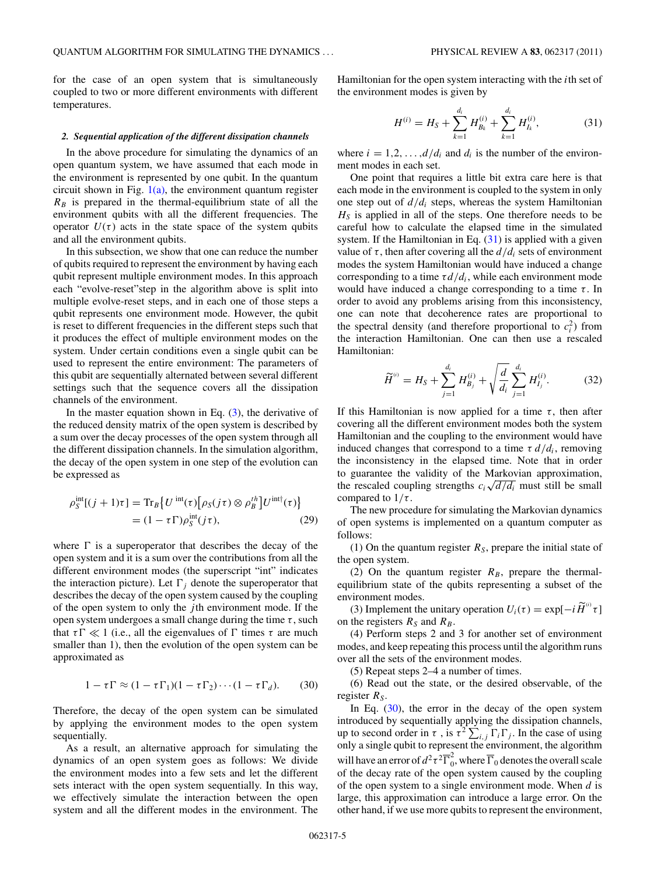<span id="page-4-0"></span>for the case of an open system that is simultaneously coupled to two or more different environments with different temperatures.

## *2. Sequential application of the different dissipation channels*

In the above procedure for simulating the dynamics of an open quantum system, we have assumed that each mode in the environment is represented by one qubit. In the quantum circuit shown in Fig.  $1(a)$ , the environment quantum register  $R_B$  is prepared in the thermal-equilibrium state of all the environment qubits with all the different frequencies. The operator  $U(\tau)$  acts in the state space of the system qubits and all the environment qubits.

In this subsection, we show that one can reduce the number of qubits required to represent the environment by having each qubit represent multiple environment modes. In this approach each "evolve-reset"step in the algorithm above is split into multiple evolve-reset steps, and in each one of those steps a qubit represents one environment mode. However, the qubit is reset to different frequencies in the different steps such that it produces the effect of multiple environment modes on the system. Under certain conditions even a single qubit can be used to represent the entire environment: The parameters of this qubit are sequentially alternated between several different settings such that the sequence covers all the dissipation channels of the environment.

In the master equation shown in Eq.  $(3)$ , the derivative of the reduced density matrix of the open system is described by a sum over the decay processes of the open system through all the different dissipation channels. In the simulation algorithm, the decay of the open system in one step of the evolution can be expressed as

$$
\rho_S^{\text{int}}[(j+1)\tau] = \text{Tr}_B\{U^{\text{ int}}(\tau)[\rho_S(j\tau) \otimes \rho_B^{th}]U^{\text{int}\dagger}(\tau)\}
$$
  
=  $(1 - \tau \Gamma)\rho_S^{\text{int}}(j\tau),$  (29)

where  $\Gamma$  is a superoperator that describes the decay of the open system and it is a sum over the contributions from all the different environment modes (the superscript "int" indicates the interaction picture). Let  $\Gamma_j$  denote the superoperator that describes the decay of the open system caused by the coupling of the open system to only the *j* th environment mode. If the open system undergoes a small change during the time *τ* , such that  $τ\Gamma \ll 1$  (i.e., all the eigenvalues of  $Γ$  times *τ* are much smaller than 1), then the evolution of the open system can be approximated as

$$
1 - \tau \Gamma \approx (1 - \tau \Gamma_1)(1 - \tau \Gamma_2) \cdots (1 - \tau \Gamma_d).
$$
 (30)

Therefore, the decay of the open system can be simulated by applying the environment modes to the open system sequentially.

As a result, an alternative approach for simulating the dynamics of an open system goes as follows: We divide the environment modes into a few sets and let the different sets interact with the open system sequentially. In this way, we effectively simulate the interaction between the open system and all the different modes in the environment. The

Hamiltonian for the open system interacting with the *i*th set of the environment modes is given by

$$
H^{(i)} = H_S + \sum_{k=1}^{d_i} H_{B_k}^{(i)} + \sum_{k=1}^{d_i} H_{I_k}^{(i)},
$$
(31)

where  $i = 1, 2, \ldots, d/d_i$  and  $d_i$  is the number of the environment modes in each set.

One point that requires a little bit extra care here is that each mode in the environment is coupled to the system in only one step out of *d/di* steps, whereas the system Hamiltonian  $H<sub>S</sub>$  is applied in all of the steps. One therefore needs to be careful how to calculate the elapsed time in the simulated system. If the Hamiltonian in Eq.  $(31)$  is applied with a given value of  $\tau$ , then after covering all the  $d/d_i$  sets of environment modes the system Hamiltonian would have induced a change corresponding to a time  $\tau d/d_i$ , while each environment mode would have induced a change corresponding to a time  $\tau$ . In order to avoid any problems arising from this inconsistency, one can note that decoherence rates are proportional to the spectral density (and therefore proportional to  $c_i^2$ ) from the interaction Hamiltonian. One can then use a rescaled Hamiltonian:

$$
\widetilde{H}^{(i)} = H_S + \sum_{j=1}^{d_i} H_{B_j}^{(i)} + \sqrt{\frac{d}{d_i}} \sum_{j=1}^{d_i} H_{I_j}^{(i)}.
$$
 (32)

If this Hamiltonian is now applied for a time  $\tau$ , then after covering all the different environment modes both the system Hamiltonian and the coupling to the environment would have induced changes that correspond to a time  $\tau d/d_i$ , removing the inconsistency in the elapsed time. Note that in order to guarantee the validity of the Markovian approximation, to guarantee the validity of the Markovian approximation, the rescaled coupling strengths  $c_i\sqrt{d/d_i}$  must still be small compared to  $1/\tau$ .

The new procedure for simulating the Markovian dynamics of open systems is implemented on a quantum computer as follows:

(1) On the quantum register  $R<sub>S</sub>$ , prepare the initial state of the open system.

(2) On the quantum register  $R_B$ , prepare the thermalequilibrium state of the qubits representing a subset of the environment modes.

(3) Implement the unitary operation  $U_i(\tau) = \exp[-i\widetilde{H}^{(i)}\tau]$ on the registers  $R_S$  and  $R_B$ .

(4) Perform steps 2 and 3 for another set of environment modes, and keep repeating this process until the algorithm runs over all the sets of the environment modes.

(5) Repeat steps 2–4 a number of times.

(6) Read out the state, or the desired observable, of the register  $R<sub>S</sub>$ .

In Eq.  $(30)$ , the error in the decay of the open system introduced by sequentially applying the dissipation channels, up to second order in  $\tau$ , is  $\tau^2 \sum_{i,j} \Gamma_i \Gamma_j$ . In the case of using only a single qubit to represent the environment, the algorithm will have an error of  $d^2\tau^2\overline{\Gamma}_0^2$ , where  $\overline{\Gamma}_0$  denotes the overall scale of the decay rate of the open system caused by the coupling of the open system to a single environment mode. When *d* is large, this approximation can introduce a large error. On the other hand, if we use more qubits to represent the environment,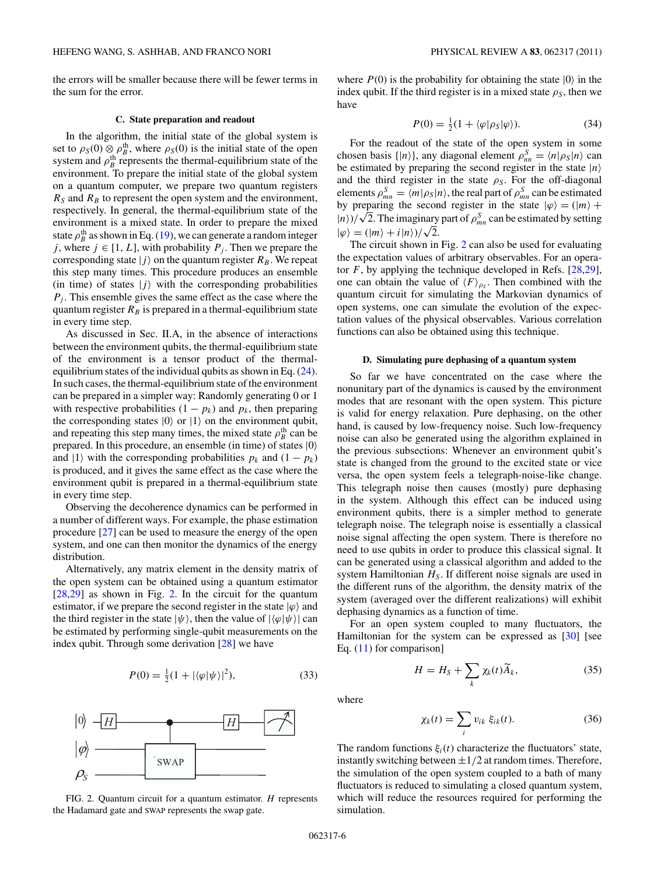<span id="page-5-0"></span>the errors will be smaller because there will be fewer terms in the sum for the error.

## **C. State preparation and readout**

In the algorithm, the initial state of the global system is set to  $\rho_S(0) \otimes \rho_B^{\text{th}}$ , where  $\rho_S(0)$  is the initial state of the open system and  $\rho_B^{\text{th}}$  represents the thermal-equilibrium state of the environment. To prepare the initial state of the global system on a quantum computer, we prepare two quantum registers  $R<sub>S</sub>$  and  $R<sub>B</sub>$  to represent the open system and the environment, respectively. In general, the thermal-equilibrium state of the environment is a mixed state. In order to prepare the mixed state  $\rho_B^{\text{th}}$  as shown in Eq. [\(19\)](#page-2-0), we can generate a random integer *j*, where  $j \in [1, L]$ , with probability  $P_j$ . Then we prepare the corresponding state  $|j\rangle$  on the quantum register  $R_B$ . We repeat this step many times. This procedure produces an ensemble (in time) of states  $|j\rangle$  with the corresponding probabilities  $P_i$ . This ensemble gives the same effect as the case where the quantum register  $R_B$  is prepared in a thermal-equilibrium state in every time step.

As discussed in Sec. II.A, in the absence of interactions between the environment qubits, the thermal-equilibrium state of the environment is a tensor product of the thermalequilibrium states of the individual qubits as shown in Eq. [\(24\)](#page-2-0). In such cases, the thermal-equilibrium state of the environment can be prepared in a simpler way: Randomly generating 0 or 1 with respective probabilities  $(1 - p_k)$  and  $p_k$ , then preparing the corresponding states  $|0\rangle$  or  $|1\rangle$  on the environment qubit, and repeating this step many times, the mixed state  $\rho_B^{\text{th}}$  can be prepared. In this procedure, an ensemble (in time) of states  $|0\rangle$ and  $|1\rangle$  with the corresponding probabilities  $p_k$  and  $(1 - p_k)$ is produced, and it gives the same effect as the case where the environment qubit is prepared in a thermal-equilibrium state in every time step.

Observing the decoherence dynamics can be performed in a number of different ways. For example, the phase estimation procedure [\[27\]](#page-10-0) can be used to measure the energy of the open system, and one can then monitor the dynamics of the energy distribution.

Alternatively, any matrix element in the density matrix of the open system can be obtained using a quantum estimator [\[28,29\]](#page-10-0) as shown in Fig. 2. In the circuit for the quantum estimator, if we prepare the second register in the state  $|\varphi\rangle$  and the third register in the state  $|\psi\rangle$ , then the value of  $|\langle \varphi | \psi \rangle|$  can be estimated by performing single-qubit measurements on the index qubit. Through some derivation [\[28\]](#page-10-0) we have

$$
P(0) = \frac{1}{2}(1 + |\langle \varphi | \psi \rangle|^2),
$$
 (33)



FIG. 2. Quantum circuit for a quantum estimator. *H* represents the Hadamard gate and SWAP represents the swap gate.

where  $P(0)$  is the probability for obtaining the state  $|0\rangle$  in the index qubit. If the third register is in a mixed state  $\rho<sub>S</sub>$ , then we have

$$
P(0) = \frac{1}{2}(1 + \langle \varphi | \rho_S | \varphi \rangle). \tag{34}
$$

For the readout of the state of the open system in some chosen basis  $\{|n\rangle\}$ , any diagonal element  $\rho_{nn}^S = \langle n|\rho_S|n\rangle$  can be estimated by preparing the second register in the state  $|n\rangle$ and the third register in the state  $\rho_S$ . For the off-diagonal elements  $\rho_{mn}^S = \langle m|\rho_S|n\rangle$ , the real part of  $\rho_{mn}^S$  can be estimated by preparing the second register in the state  $|\varphi\rangle = (m) +$ by preparing the second register in the state  $|\varphi\rangle = (m) + |n\rangle$ )/ $\sqrt{2}$ . The imaginary part of  $\rho_{mn}^S$  can be estimated by setting  $|\psi\rangle$  =  $(|m\rangle + i|n\rangle)/\sqrt{2}$ .

The circuit shown in Fig. 2 can also be used for evaluating the expectation values of arbitrary observables. For an operator *F*, by applying the technique developed in Refs. [\[28,29\]](#page-10-0), one can obtain the value of  $\langle F \rangle_{\rho_S}$ . Then combined with the quantum circuit for simulating the Markovian dynamics of open systems, one can simulate the evolution of the expectation values of the physical observables. Various correlation functions can also be obtained using this technique.

## **D. Simulating pure dephasing of a quantum system**

So far we have concentrated on the case where the nonunitary part of the dynamics is caused by the environment modes that are resonant with the open system. This picture is valid for energy relaxation. Pure dephasing, on the other hand, is caused by low-frequency noise. Such low-frequency noise can also be generated using the algorithm explained in the previous subsections: Whenever an environment qubit's state is changed from the ground to the excited state or vice versa, the open system feels a telegraph-noise-like change. This telegraph noise then causes (mostly) pure dephasing in the system. Although this effect can be induced using environment qubits, there is a simpler method to generate telegraph noise. The telegraph noise is essentially a classical noise signal affecting the open system. There is therefore no need to use qubits in order to produce this classical signal. It can be generated using a classical algorithm and added to the system Hamiltonian  $H<sub>S</sub>$ . If different noise signals are used in the different runs of the algorithm, the density matrix of the system (averaged over the different realizations) will exhibit dephasing dynamics as a function of time.

For an open system coupled to many fluctuators, the Hamiltonian for the system can be expressed as [\[30\]](#page-10-0) [see Eq.  $(11)$  for comparison]

$$
H = H_S + \sum_{k} \chi_k(t) \widetilde{A}_k, \tag{35}
$$

where

$$
\chi_k(t) = \sum_i v_{ik} \xi_{ik}(t). \tag{36}
$$

The random functions  $\xi_i(t)$  characterize the fluctuators' state, instantly switching between  $\pm 1/2$  at random times. Therefore, the simulation of the open system coupled to a bath of many fluctuators is reduced to simulating a closed quantum system, which will reduce the resources required for performing the simulation.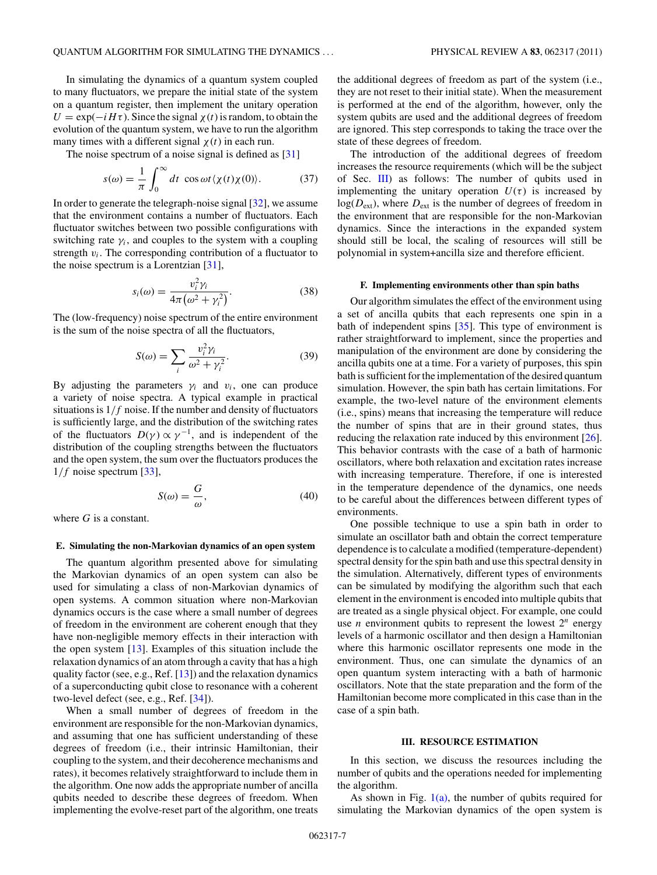<span id="page-6-0"></span>In simulating the dynamics of a quantum system coupled to many fluctuators, we prepare the initial state of the system on a quantum register, then implement the unitary operation  $U = \exp(-i H \tau)$ . Since the signal  $\chi(t)$  is random, to obtain the evolution of the quantum system, we have to run the algorithm many times with a different signal  $\chi(t)$  in each run.

The noise spectrum of a noise signal is defined as [\[31\]](#page-10-0)

$$
s(\omega) = \frac{1}{\pi} \int_0^\infty dt \, \cos \omega t \langle \chi(t) \chi(0) \rangle. \tag{37}
$$

In order to generate the telegraph-noise signal [\[32\]](#page-10-0), we assume that the environment contains a number of fluctuators. Each fluctuator switches between two possible configurations with switching rate  $\gamma_i$ , and couples to the system with a coupling strength *vi*. The corresponding contribution of a fluctuator to the noise spectrum is a Lorentzian [\[31\]](#page-10-0),

$$
s_i(\omega) = \frac{v_i^2 \gamma_i}{4\pi \left(\omega^2 + \gamma_i^2\right)}.
$$
\n(38)

The (low-frequency) noise spectrum of the entire environment is the sum of the noise spectra of all the fluctuators,

$$
S(\omega) = \sum_{i} \frac{v_i^2 \gamma_i}{\omega^2 + \gamma_i^2}.
$$
 (39)

By adjusting the parameters  $\gamma_i$  and  $v_i$ , one can produce a variety of noise spectra. A typical example in practical situations is 1*/f* noise. If the number and density of fluctuators is sufficiently large, and the distribution of the switching rates of the fluctuators  $D(\gamma) \propto \gamma^{-1}$ , and is independent of the distribution of the coupling strengths between the fluctuators and the open system, the sum over the fluctuators produces the  $1/f$  noise spectrum [\[33\]](#page-10-0),

$$
S(\omega) = \frac{G}{\omega},\tag{40}
$$

where *G* is a constant.

# **E. Simulating the non-Markovian dynamics of an open system**

The quantum algorithm presented above for simulating the Markovian dynamics of an open system can also be used for simulating a class of non-Markovian dynamics of open systems. A common situation where non-Markovian dynamics occurs is the case where a small number of degrees of freedom in the environment are coherent enough that they have non-negligible memory effects in their interaction with the open system [\[13\]](#page-9-0). Examples of this situation include the relaxation dynamics of an atom through a cavity that has a high quality factor (see, e.g., Ref. [\[13\]](#page-9-0)) and the relaxation dynamics of a superconducting qubit close to resonance with a coherent two-level defect (see, e.g., Ref. [\[34\]](#page-10-0)).

When a small number of degrees of freedom in the environment are responsible for the non-Markovian dynamics, and assuming that one has sufficient understanding of these degrees of freedom (i.e., their intrinsic Hamiltonian, their coupling to the system, and their decoherence mechanisms and rates), it becomes relatively straightforward to include them in the algorithm. One now adds the appropriate number of ancilla qubits needed to describe these degrees of freedom. When implementing the evolve-reset part of the algorithm, one treats

the additional degrees of freedom as part of the system (i.e., they are not reset to their initial state). When the measurement is performed at the end of the algorithm, however, only the system qubits are used and the additional degrees of freedom are ignored. This step corresponds to taking the trace over the state of these degrees of freedom.

The introduction of the additional degrees of freedom increases the resource requirements (which will be the subject of Sec. III) as follows: The number of qubits used in implementing the unitary operation  $U(\tau)$  is increased by  $log(D_{ext})$ , where  $D_{ext}$  is the number of degrees of freedom in the environment that are responsible for the non-Markovian dynamics. Since the interactions in the expanded system should still be local, the scaling of resources will still be polynomial in system+ancilla size and therefore efficient.

## **F. Implementing environments other than spin baths**

Our algorithm simulates the effect of the environment using a set of ancilla qubits that each represents one spin in a bath of independent spins [\[35\]](#page-10-0). This type of environment is rather straightforward to implement, since the properties and manipulation of the environment are done by considering the ancilla qubits one at a time. For a variety of purposes, this spin bath is sufficient for the implementation of the desired quantum simulation. However, the spin bath has certain limitations. For example, the two-level nature of the environment elements (i.e., spins) means that increasing the temperature will reduce the number of spins that are in their ground states, thus reducing the relaxation rate induced by this environment [\[26\]](#page-10-0). This behavior contrasts with the case of a bath of harmonic oscillators, where both relaxation and excitation rates increase with increasing temperature. Therefore, if one is interested in the temperature dependence of the dynamics, one needs to be careful about the differences between different types of environments.

One possible technique to use a spin bath in order to simulate an oscillator bath and obtain the correct temperature dependence is to calculate a modified (temperature-dependent) spectral density for the spin bath and use this spectral density in the simulation. Alternatively, different types of environments can be simulated by modifying the algorithm such that each element in the environment is encoded into multiple qubits that are treated as a single physical object. For example, one could use *n* environment qubits to represent the lowest  $2^n$  energy levels of a harmonic oscillator and then design a Hamiltonian where this harmonic oscillator represents one mode in the environment. Thus, one can simulate the dynamics of an open quantum system interacting with a bath of harmonic oscillators. Note that the state preparation and the form of the Hamiltonian become more complicated in this case than in the case of a spin bath.

# **III. RESOURCE ESTIMATION**

In this section, we discuss the resources including the number of qubits and the operations needed for implementing the algorithm.

As shown in Fig.  $1(a)$ , the number of qubits required for simulating the Markovian dynamics of the open system is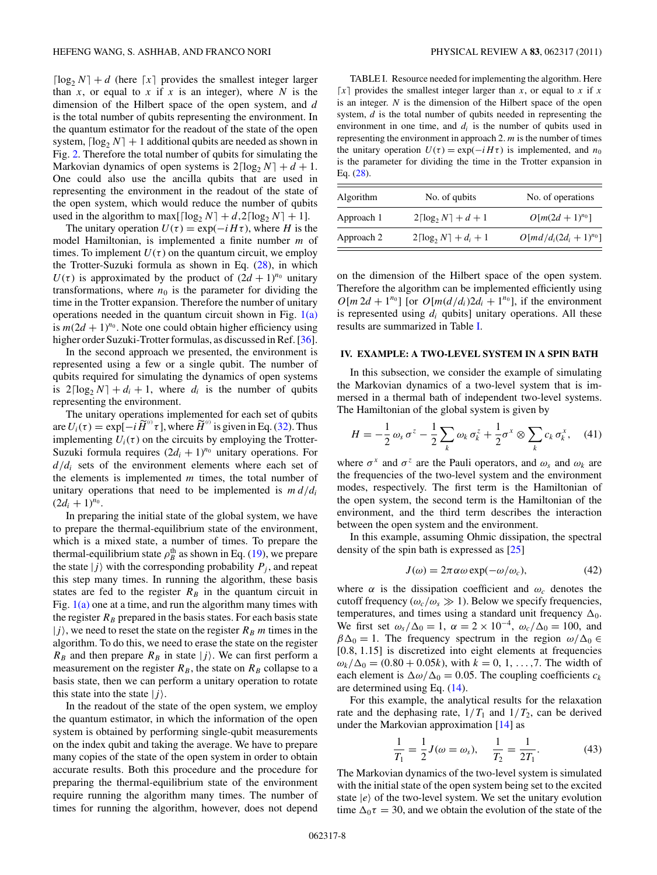<span id="page-7-0"></span> $\lceil \log_2 N \rceil + d$  (here  $\lceil x \rceil$  provides the smallest integer larger than  $x$ , or equal to  $x$  if  $x$  is an integer), where  $N$  is the dimension of the Hilbert space of the open system, and *d* is the total number of qubits representing the environment. In the quantum estimator for the readout of the state of the open system,  $\lceil \log_2 N \rceil + 1$  additional qubits are needed as shown in Fig. [2.](#page-5-0) Therefore the total number of qubits for simulating the Markovian dynamics of open systems is  $2\lceil \log_2 N \rceil + d + 1$ . One could also use the ancilla qubits that are used in representing the environment in the readout of the state of the open system, which would reduce the number of qubits used in the algorithm to max $[ \lceil \log_2 N \rceil + d$ ,  $2 \lceil \log_2 N \rceil + 1]$ .

The unitary operation  $U(\tau) = \exp(-i H \tau)$ , where *H* is the model Hamiltonian, is implemented a finite number *m* of times. To implement  $U(\tau)$  on the quantum circuit, we employ the Trotter-Suzuki formula as shown in Eq. [\(28\)](#page-3-0), in which  $U(\tau)$  is approximated by the product of  $(2d + 1)^{n_0}$  unitary transformations, where  $n_0$  is the parameter for dividing the time in the Trotter expansion. Therefore the number of unitary operations needed in the quantum circuit shown in Fig.  $1(a)$ is  $m(2d + 1)^{n_0}$ . Note one could obtain higher efficiency using higher order Suzuki-Trotter formulas, as discussed in Ref. [\[36\]](#page-10-0).

In the second approach we presented, the environment is represented using a few or a single qubit. The number of qubits required for simulating the dynamics of open systems is  $2\lceil \log_2 N \rceil + d_i + 1$ , where  $d_i$  is the number of qubits representing the environment.

The unitary operations implemented for each set of qubits are  $U_i(\tau) = \exp[-i\widetilde{H}^{(i)}\tau]$ , where  $\widetilde{H}^{(i)}$  is given in Eq. [\(32\)](#page-4-0). Thus implementing  $U_i(\tau)$  on the circuits by employing the Trotter-Suzuki formula requires  $(2d<sub>i</sub> + 1)<sup>n<sub>0</sub></sup>$  unitary operations. For *d/di* sets of the environment elements where each set of the elements is implemented *m* times, the total number of unitary operations that need to be implemented is *m d/di*  $(2d_i + 1)^{n_0}$ .

In preparing the initial state of the global system, we have to prepare the thermal-equilibrium state of the environment, which is a mixed state, a number of times. To prepare the thermal-equilibrium state  $\rho_B^{\text{th}}$  as shown in Eq. [\(19\)](#page-2-0), we prepare the state  $|j\rangle$  with the corresponding probability  $P_j$ , and repeat this step many times. In running the algorithm, these basis states are fed to the register  $R_B$  in the quantum circuit in Fig.  $1(a)$  one at a time, and run the algorithm many times with the register  $R_B$  prepared in the basis states. For each basis state  $|j\rangle$ , we need to reset the state on the register  $R_B$  *m* times in the algorithm. To do this, we need to erase the state on the register  $R_B$  and then prepare  $R_B$  in state  $|j\rangle$ . We can first perform a measurement on the register  $R_B$ , the state on  $R_B$  collapse to a basis state, then we can perform a unitary operation to rotate this state into the state  $|j\rangle$ .

In the readout of the state of the open system, we employ the quantum estimator, in which the information of the open system is obtained by performing single-qubit measurements on the index qubit and taking the average. We have to prepare many copies of the state of the open system in order to obtain accurate results. Both this procedure and the procedure for preparing the thermal-equilibrium state of the environment require running the algorithm many times. The number of times for running the algorithm, however, does not depend

TABLE I. Resource needed for implementing the algorithm. Here  $\lceil x \rceil$  provides the smallest integer larger than *x*, or equal to *x* if *x* is an integer. *N* is the dimension of the Hilbert space of the open system, *d* is the total number of qubits needed in representing the environment in one time, and  $d_i$  is the number of qubits used in representing the environment in approach 2. *m* is the number of times the unitary operation  $U(\tau) = \exp(-i H \tau)$  is implemented, and  $n_0$ is the parameter for dividing the time in the Trotter expansion in Eq. [\(28\)](#page-3-0).

| Algorithm  | No. of qubits                       | No. of operations         |  |
|------------|-------------------------------------|---------------------------|--|
| Approach 1 | $2\lceil \log_2 N \rceil + d + 1$   | $O[m(2d+1)^{n_0}]$        |  |
| Approach 2 | $2\lceil \log_2 N \rceil + d_i + 1$ | $O[md/d_i(2d_i+1)^{n_0}]$ |  |

on the dimension of the Hilbert space of the open system. Therefore the algorithm can be implemented efficiently using  $O[m 2d + 1^{n_0}]$  [or  $O[m(d/d_i)2d_i + 1^{n_0}]$ , if the environment is represented using *di* qubits] unitary operations. All these results are summarized in Table I.

# **IV. EXAMPLE: A TWO-LEVEL SYSTEM IN A SPIN BATH**

In this subsection, we consider the example of simulating the Markovian dynamics of a two-level system that is immersed in a thermal bath of independent two-level systems. The Hamiltonian of the global system is given by

$$
H = -\frac{1}{2}\omega_s\,\sigma^z - \frac{1}{2}\sum_k \omega_k\,\sigma_k^z + \frac{1}{2}\sigma^x\otimes \sum_k c_k\,\sigma_k^x,\quad (41)
$$

where  $\sigma^x$  and  $\sigma^z$  are the Pauli operators, and  $\omega_s$  and  $\omega_k$  are the frequencies of the two-level system and the environment modes, respectively. The first term is the Hamiltonian of the open system, the second term is the Hamiltonian of the environment, and the third term describes the interaction between the open system and the environment.

In this example, assuming Ohmic dissipation, the spectral density of the spin bath is expressed as [\[25\]](#page-10-0)

$$
J(\omega) = 2\pi \alpha \omega \exp(-\omega/\omega_c), \qquad (42)
$$

where  $\alpha$  is the dissipation coefficient and  $\omega_c$  denotes the cutoff frequency ( $\omega_c/\omega_s \gg 1$ ). Below we specify frequencies, temperatures, and times using a standard unit frequency  $\Delta_0$ . We first set  $\omega_s/\Delta_0 = 1$ ,  $\alpha = 2 \times 10^{-4}$ ,  $\omega_c/\Delta_0 = 100$ , and  $\beta\Delta_0 = 1$ . The frequency spectrum in the region  $\omega/\Delta_0 \in$ [0*.*8, 1*.*15] is discretized into eight elements at frequencies  $\omega_k/\Delta_0 = (0.80 + 0.05k)$ , with  $k = 0, 1, ..., 7$ . The width of each element is  $\Delta \omega / \Delta_0 = 0.05$ . The coupling coefficients  $c_k$ are determined using Eq. [\(14\)](#page-2-0).

For this example, the analytical results for the relaxation rate and the dephasing rate,  $1/T_1$  and  $1/T_2$ , can be derived under the Markovian approximation [\[14\]](#page-9-0) as

$$
\frac{1}{T_1} = \frac{1}{2}J(\omega = \omega_s), \quad \frac{1}{T_2} = \frac{1}{2T_1}.
$$
 (43)

The Markovian dynamics of the two-level system is simulated with the initial state of the open system being set to the excited state  $|e\rangle$  of the two-level system. We set the unitary evolution time  $\Delta_0 \tau = 30$ , and we obtain the evolution of the state of the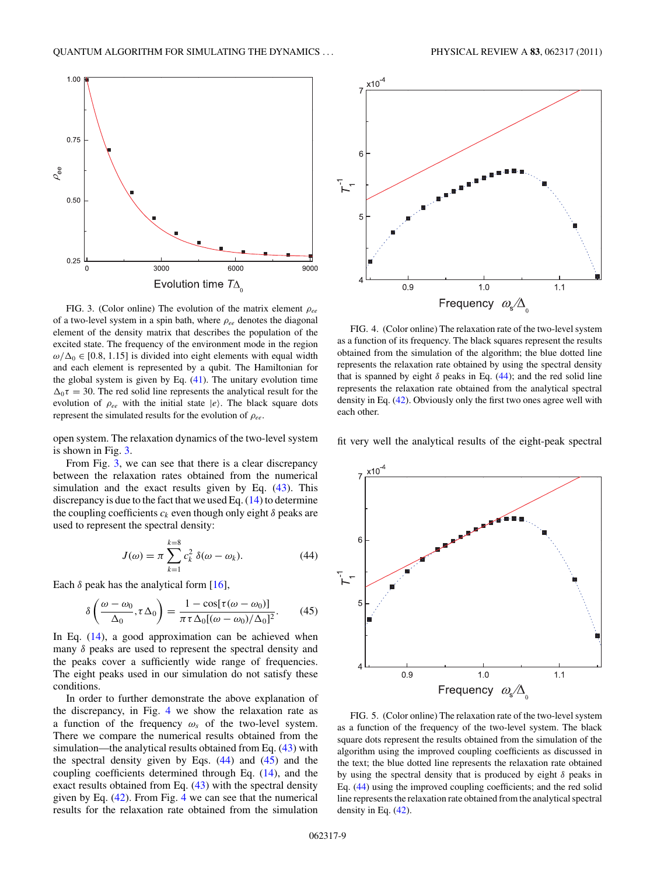<span id="page-8-0"></span>

FIG. 3. (Color online) The evolution of the matrix element *ρee* of a two-level system in a spin bath, where *ρee* denotes the diagonal element of the density matrix that describes the population of the excited state. The frequency of the environment mode in the region  $\omega/\Delta_0 \in [0.8, 1.15]$  is divided into eight elements with equal width and each element is represented by a qubit. The Hamiltonian for the global system is given by Eq. [\(41\)](#page-7-0). The unitary evolution time  $\Delta_0 \tau = 30$ . The red solid line represents the analytical result for the evolution of  $\rho_{ee}$  with the initial state  $|e\rangle$ . The black square dots represent the simulated results for the evolution of *ρee*.

open system. The relaxation dynamics of the two-level system is shown in Fig. 3.

From Fig. 3, we can see that there is a clear discrepancy between the relaxation rates obtained from the numerical simulation and the exact results given by Eq. [\(43\)](#page-7-0). This discrepancy is due to the fact that we used Eq. [\(14\)](#page-2-0) to determine the coupling coefficients  $c_k$  even though only eight  $\delta$  peaks are used to represent the spectral density:

$$
J(\omega) = \pi \sum_{k=1}^{k=8} c_k^2 \,\delta(\omega - \omega_k). \tag{44}
$$

Each  $\delta$  peak has the analytical form [\[16\]](#page-9-0),

$$
\delta\left(\frac{\omega - \omega_0}{\Delta_0}, \tau \Delta_0\right) = \frac{1 - \cos[\tau(\omega - \omega_0)]}{\pi \tau \Delta_0[(\omega - \omega_0)/\Delta_0]^2}.\tag{45}
$$

In Eq.  $(14)$ , a good approximation can be achieved when many *δ* peaks are used to represent the spectral density and the peaks cover a sufficiently wide range of frequencies. The eight peaks used in our simulation do not satisfy these conditions.

In order to further demonstrate the above explanation of the discrepancy, in Fig. 4 we show the relaxation rate as a function of the frequency  $\omega_s$  of the two-level system. There we compare the numerical results obtained from the simulation—the analytical results obtained from Eq. [\(43\)](#page-7-0) with the spectral density given by Eqs.  $(44)$  and  $(45)$  and the coupling coefficients determined through Eq. [\(14\)](#page-2-0), and the exact results obtained from Eq. [\(43\)](#page-7-0) with the spectral density given by Eq. [\(42\)](#page-7-0). From Fig. 4 we can see that the numerical results for the relaxation rate obtained from the simulation



FIG. 4. (Color online) The relaxation rate of the two-level system as a function of its frequency. The black squares represent the results obtained from the simulation of the algorithm; the blue dotted line represents the relaxation rate obtained by using the spectral density that is spanned by eight  $\delta$  peaks in Eq. (44); and the red solid line represents the relaxation rate obtained from the analytical spectral density in Eq. [\(42\)](#page-7-0). Obviously only the first two ones agree well with each other.

fit very well the analytical results of the eight-peak spectral



FIG. 5. (Color online) The relaxation rate of the two-level system as a function of the frequency of the two-level system. The black square dots represent the results obtained from the simulation of the algorithm using the improved coupling coefficients as discussed in the text; the blue dotted line represents the relaxation rate obtained by using the spectral density that is produced by eight *δ* peaks in Eq. (44) using the improved coupling coefficients; and the red solid line represents the relaxation rate obtained from the analytical spectral density in Eq. [\(42\)](#page-7-0).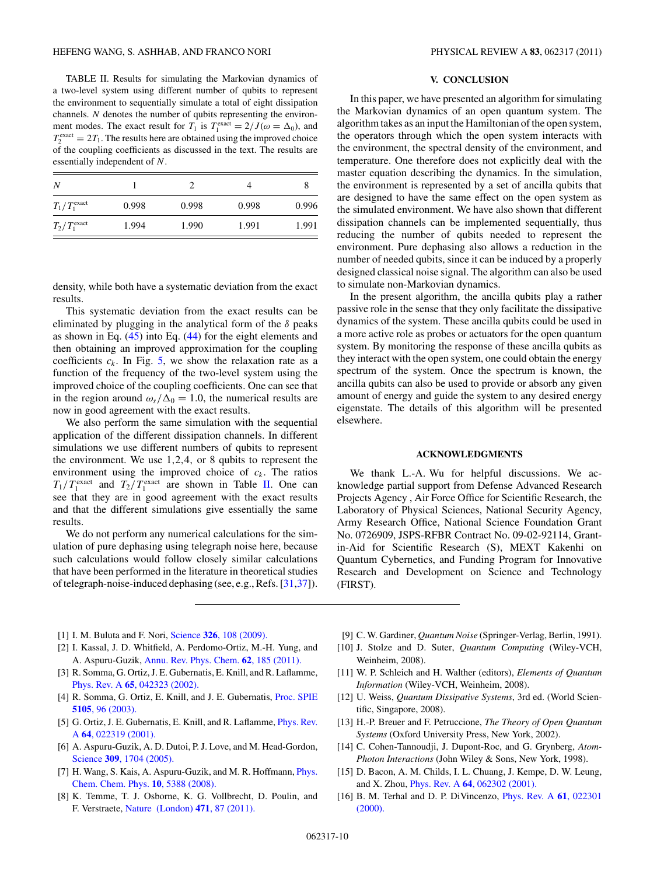<span id="page-9-0"></span>TABLE II. Results for simulating the Markovian dynamics of a two-level system using different number of qubits to represent the environment to sequentially simulate a total of eight dissipation channels. *N* denotes the number of qubits representing the environment modes. The exact result for  $T_1$  is  $T_1^{\text{exact}} = 2/J(\omega = \Delta_0)$ , and  $T_2^{\text{exact}} = 2T_1$ . The results here are obtained using the improved choice of the coupling coefficients as discussed in the text. The results are essentially independent of *N*.

| N                        |       |       |       |       |
|--------------------------|-------|-------|-------|-------|
| $T_1/T_1^{\text{exact}}$ | 0.998 | 0.998 | 0.998 | 0.996 |
| $T_2/T_1^{\text{exact}}$ | 1.994 | 1.990 | 1.991 | 1.991 |

density, while both have a systematic deviation from the exact results.

This systematic deviation from the exact results can be eliminated by plugging in the analytical form of the *δ* peaks as shown in Eq.  $(45)$  into Eq.  $(44)$  for the eight elements and then obtaining an improved approximation for the coupling coefficients  $c_k$ . In Fig. [5,](#page-8-0) we show the relaxation rate as a function of the frequency of the two-level system using the improved choice of the coupling coefficients. One can see that in the region around  $\omega_s/\Delta_0 = 1.0$ , the numerical results are now in good agreement with the exact results.

We also perform the same simulation with the sequential application of the different dissipation channels. In different simulations we use different numbers of qubits to represent the environment. We use 1*,*2*,*4*,* or 8 qubits to represent the environment using the improved choice of  $c_k$ . The ratios  $T_1/T_1^{\text{exact}}$  and  $T_2/T_1^{\text{exact}}$  are shown in Table II. One can see that they are in good agreement with the exact results and that the different simulations give essentially the same results.

We do not perform any numerical calculations for the simulation of pure dephasing using telegraph noise here, because such calculations would follow closely similar calculations that have been performed in the literature in theoretical studies of telegraph-noise-induced dephasing (see, e.g., Refs. [\[31,37\]](#page-10-0)).

# **V. CONCLUSION**

In this paper, we have presented an algorithm for simulating the Markovian dynamics of an open quantum system. The algorithm takes as an input the Hamiltonian of the open system, the operators through which the open system interacts with the environment, the spectral density of the environment, and temperature. One therefore does not explicitly deal with the master equation describing the dynamics. In the simulation, the environment is represented by a set of ancilla qubits that are designed to have the same effect on the open system as the simulated environment. We have also shown that different dissipation channels can be implemented sequentially, thus reducing the number of qubits needed to represent the environment. Pure dephasing also allows a reduction in the number of needed qubits, since it can be induced by a properly designed classical noise signal. The algorithm can also be used to simulate non-Markovian dynamics.

In the present algorithm, the ancilla qubits play a rather passive role in the sense that they only facilitate the dissipative dynamics of the system. These ancilla qubits could be used in a more active role as probes or actuators for the open quantum system. By monitoring the response of these ancilla qubits as they interact with the open system, one could obtain the energy spectrum of the system. Once the spectrum is known, the ancilla qubits can also be used to provide or absorb any given amount of energy and guide the system to any desired energy eigenstate. The details of this algorithm will be presented elsewhere.

## **ACKNOWLEDGMENTS**

We thank L.-A. Wu for helpful discussions. We acknowledge partial support from Defense Advanced Research Projects Agency , Air Force Office for Scientific Research, the Laboratory of Physical Sciences, National Security Agency, Army Research Office, National Science Foundation Grant No. 0726909, JSPS-RFBR Contract No. 09-02-92114, Grantin-Aid for Scientific Research (S), MEXT Kakenhi on Quantum Cybernetics, and Funding Program for Innovative Research and Development on Science and Technology (FIRST).

- [1] I. M. Buluta and F. Nori, Science **326**[, 108 \(2009\).](http://dx.doi.org/10.1126/science.1177838)
- [2] I. Kassal, J. D. Whitfield, A. Perdomo-Ortiz, M.-H. Yung, and A. Aspuru-Guzik, [Annu. Rev. Phys. Chem.](http://dx.doi.org/10.1146/annurev-physchem-032210-103512) **62**, 185 (2011).
- [3] R. Somma, G. Ortiz, J. E. Gubernatis, E. Knill, and R. Laflamme, Phys. Rev. A **65**[, 042323 \(2002\).](http://dx.doi.org/10.1103/PhysRevA.65.042323)
- [4] R. Somma, G. Ortiz, E. Knill, and J. E. Gubernatis, [Proc. SPIE](http://dx.doi.org/10.1117/12.487249) **5105**[, 96 \(2003\).](http://dx.doi.org/10.1117/12.487249)
- [5] G. Ortiz, J. E. Gubernatis, E. Knill, and R. Laflamme, *[Phys. Rev.](http://dx.doi.org/10.1103/PhysRevA.64.022319)* A **64**[, 022319 \(2001\).](http://dx.doi.org/10.1103/PhysRevA.64.022319)
- [6] A. Aspuru-Guzik, A. D. Dutoi, P. J. Love, and M. Head-Gordon, Science **309**[, 1704 \(2005\).](http://dx.doi.org/10.1126/science.1113479)
- [7] H. Wang, S. Kais, A. Aspuru-Guzik, and M. R. Hoffmann, *[Phys.](http://dx.doi.org/10.1039/b804804e)* [Chem. Chem. Phys.](http://dx.doi.org/10.1039/b804804e) **10**, 5388 (2008).
- [8] K. Temme, T. J. Osborne, K. G. Vollbrecht, D. Poulin, and F. Verstraete, [Nature \(London\)](http://dx.doi.org/10.1038/nature09770) **471**, 87 (2011).
- [9] C. W. Gardiner, *Quantum Noise* (Springer-Verlag, Berlin, 1991).
- [10] J. Stolze and D. Suter, *Quantum Computing* (Wiley-VCH, Weinheim, 2008).
- [11] W. P. Schleich and H. Walther (editors), *Elements of Quantum Information* (Wiley-VCH, Weinheim, 2008).
- [12] U. Weiss, *Quantum Dissipative Systems*, 3rd ed. (World Scientific, Singapore, 2008).
- [13] H.-P. Breuer and F. Petruccione, *The Theory of Open Quantum Systems* (Oxford University Press, New York, 2002).
- [14] C. Cohen-Tannoudji, J. Dupont-Roc, and G. Grynberg, *Atom-Photon Interactions* (John Wiley & Sons, New York, 1998).
- [15] D. Bacon, A. M. Childs, I. L. Chuang, J. Kempe, D. W. Leung, and X. Zhou, Phys. Rev. A **64**[, 062302 \(2001\).](http://dx.doi.org/10.1103/PhysRevA.64.062302)
- [16] B. M. Terhal and D. P. DiVincenzo, [Phys. Rev. A](http://dx.doi.org/10.1103/PhysRevA.61.022301) **61**, 022301 [\(2000\).](http://dx.doi.org/10.1103/PhysRevA.61.022301)